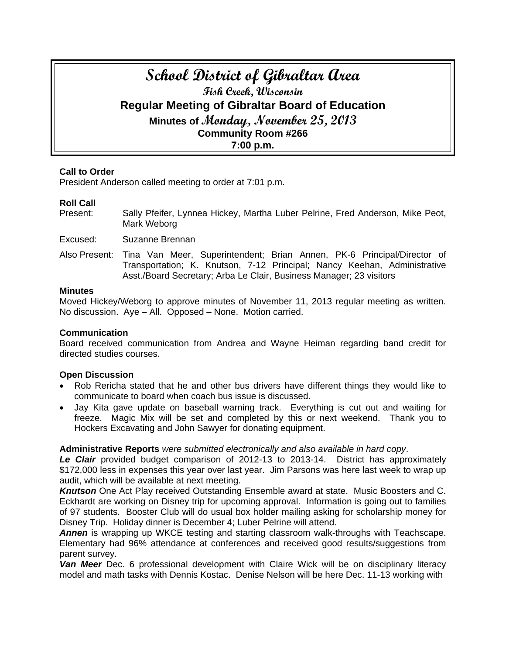# **School District of Gibraltar Area Fish Creek, Wisconsin Regular Meeting of Gibraltar Board of Education Minutes of Monday, November 25, 2013 Community Room #266 7:00 p.m.**

## **Call to Order**

President Anderson called meeting to order at 7:01 p.m.

## **Roll Call**

Present: Sally Pfeifer, Lynnea Hickey, Martha Luber Pelrine, Fred Anderson, Mike Peot, Mark Weborg

Excused: Suzanne Brennan

Also Present: Tina Van Meer, Superintendent; Brian Annen, PK-6 Principal/Director of Transportation; K. Knutson, 7-12 Principal; Nancy Keehan, Administrative Asst./Board Secretary; Arba Le Clair, Business Manager; 23 visitors

#### **Minutes**

Moved Hickey/Weborg to approve minutes of November 11, 2013 regular meeting as written. No discussion. Aye – All. Opposed – None. Motion carried.

## **Communication**

Board received communication from Andrea and Wayne Heiman regarding band credit for directed studies courses.

## **Open Discussion**

- Rob Rericha stated that he and other bus drivers have different things they would like to communicate to board when coach bus issue is discussed.
- Jay Kita gave update on baseball warning track. Everything is cut out and waiting for freeze. Magic Mix will be set and completed by this or next weekend. Thank you to Hockers Excavating and John Sawyer for donating equipment.

## **Administrative Reports** *were submitted electronically and also available in hard copy*.

*Le Clair* provided budget comparison of 2012-13 to 2013-14. District has approximately \$172,000 less in expenses this year over last year. Jim Parsons was here last week to wrap up audit, which will be available at next meeting.

*Knutson* One Act Play received Outstanding Ensemble award at state. Music Boosters and C. Eckhardt are working on Disney trip for upcoming approval. Information is going out to families of 97 students. Booster Club will do usual box holder mailing asking for scholarship money for Disney Trip. Holiday dinner is December 4; Luber Pelrine will attend.

*Annen* is wrapping up WKCE testing and starting classroom walk-throughs with Teachscape. Elementary had 96% attendance at conferences and received good results/suggestions from parent survey.

**Van Meer** Dec. 6 professional development with Claire Wick will be on disciplinary literacy model and math tasks with Dennis Kostac. Denise Nelson will be here Dec. 11-13 working with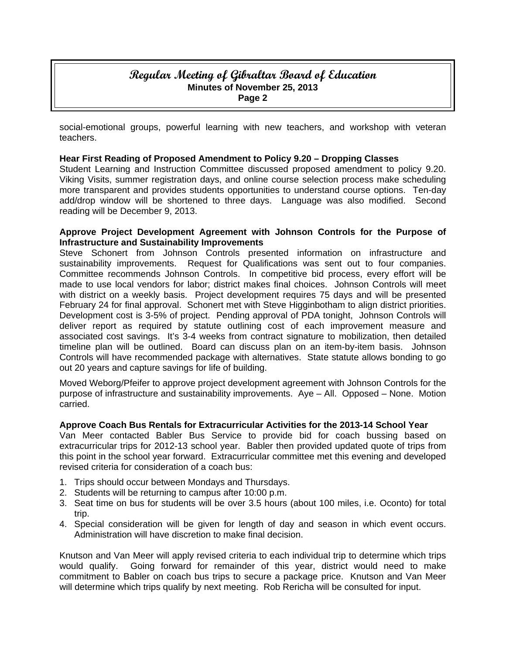## **Regular Meeting of Gibraltar Board of Education Minutes of November 25, 2013 Page 2**

social-emotional groups, powerful learning with new teachers, and workshop with veteran teachers.

## **Hear First Reading of Proposed Amendment to Policy 9.20 – Dropping Classes**

Student Learning and Instruction Committee discussed proposed amendment to policy 9.20. Viking Visits, summer registration days, and online course selection process make scheduling more transparent and provides students opportunities to understand course options. Ten-day add/drop window will be shortened to three days. Language was also modified. Second reading will be December 9, 2013.

## **Approve Project Development Agreement with Johnson Controls for the Purpose of Infrastructure and Sustainability Improvements**

Steve Schonert from Johnson Controls presented information on infrastructure and sustainability improvements. Request for Qualifications was sent out to four companies. Committee recommends Johnson Controls. In competitive bid process, every effort will be made to use local vendors for labor; district makes final choices. Johnson Controls will meet with district on a weekly basis. Project development requires 75 days and will be presented February 24 for final approval. Schonert met with Steve Higginbotham to align district priorities. Development cost is 3-5% of project. Pending approval of PDA tonight, Johnson Controls will deliver report as required by statute outlining cost of each improvement measure and associated cost savings. It's 3-4 weeks from contract signature to mobilization, then detailed timeline plan will be outlined. Board can discuss plan on an item-by-item basis. Johnson Controls will have recommended package with alternatives. State statute allows bonding to go out 20 years and capture savings for life of building.

Moved Weborg/Pfeifer to approve project development agreement with Johnson Controls for the purpose of infrastructure and sustainability improvements. Aye – All. Opposed – None. Motion carried.

## **Approve Coach Bus Rentals for Extracurricular Activities for the 2013-14 School Year**

Van Meer contacted Babler Bus Service to provide bid for coach bussing based on extracurricular trips for 2012-13 school year. Babler then provided updated quote of trips from this point in the school year forward. Extracurricular committee met this evening and developed revised criteria for consideration of a coach bus:

- 1. Trips should occur between Mondays and Thursdays.
- 2. Students will be returning to campus after 10:00 p.m.
- 3. Seat time on bus for students will be over 3.5 hours (about 100 miles, i.e. Oconto) for total trip.
- 4. Special consideration will be given for length of day and season in which event occurs. Administration will have discretion to make final decision.

Knutson and Van Meer will apply revised criteria to each individual trip to determine which trips would qualify. Going forward for remainder of this year, district would need to make commitment to Babler on coach bus trips to secure a package price. Knutson and Van Meer will determine which trips qualify by next meeting. Rob Rericha will be consulted for input.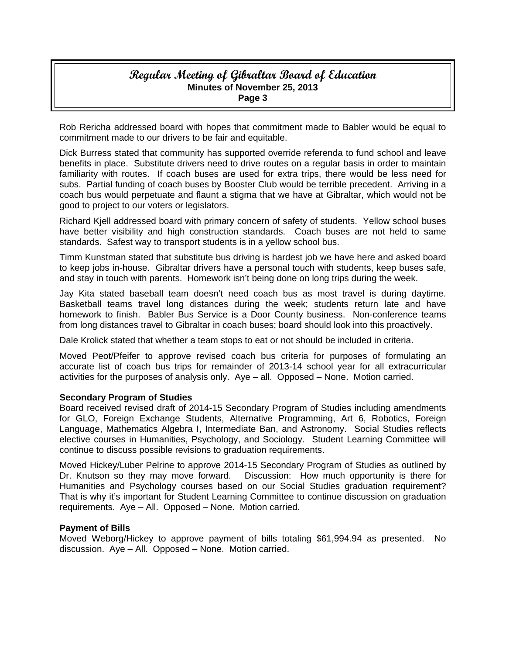## **Regular Meeting of Gibraltar Board of Education Minutes of November 25, 2013 Page 3**

Rob Rericha addressed board with hopes that commitment made to Babler would be equal to commitment made to our drivers to be fair and equitable.

Dick Burress stated that community has supported override referenda to fund school and leave benefits in place. Substitute drivers need to drive routes on a regular basis in order to maintain familiarity with routes. If coach buses are used for extra trips, there would be less need for subs. Partial funding of coach buses by Booster Club would be terrible precedent. Arriving in a coach bus would perpetuate and flaunt a stigma that we have at Gibraltar, which would not be good to project to our voters or legislators.

Richard Kjell addressed board with primary concern of safety of students. Yellow school buses have better visibility and high construction standards. Coach buses are not held to same standards. Safest way to transport students is in a yellow school bus.

Timm Kunstman stated that substitute bus driving is hardest job we have here and asked board to keep jobs in-house. Gibraltar drivers have a personal touch with students, keep buses safe, and stay in touch with parents. Homework isn't being done on long trips during the week.

Jay Kita stated baseball team doesn't need coach bus as most travel is during daytime. Basketball teams travel long distances during the week; students return late and have homework to finish. Babler Bus Service is a Door County business. Non-conference teams from long distances travel to Gibraltar in coach buses; board should look into this proactively.

Dale Krolick stated that whether a team stops to eat or not should be included in criteria.

Moved Peot/Pfeifer to approve revised coach bus criteria for purposes of formulating an accurate list of coach bus trips for remainder of 2013-14 school year for all extracurricular activities for the purposes of analysis only. Aye – all. Opposed – None. Motion carried.

## **Secondary Program of Studies**

Board received revised draft of 2014-15 Secondary Program of Studies including amendments for GLO, Foreign Exchange Students, Alternative Programming, Art 6, Robotics, Foreign Language, Mathematics Algebra I, Intermediate Ban, and Astronomy. Social Studies reflects elective courses in Humanities, Psychology, and Sociology. Student Learning Committee will continue to discuss possible revisions to graduation requirements.

Moved Hickey/Luber Pelrine to approve 2014-15 Secondary Program of Studies as outlined by Dr. Knutson so they may move forward. Discussion: How much opportunity is there for Humanities and Psychology courses based on our Social Studies graduation requirement? That is why it's important for Student Learning Committee to continue discussion on graduation requirements. Aye – All. Opposed – None. Motion carried.

## **Payment of Bills**

Moved Weborg/Hickey to approve payment of bills totaling \$61,994.94 as presented. No discussion. Aye – All. Opposed – None. Motion carried.